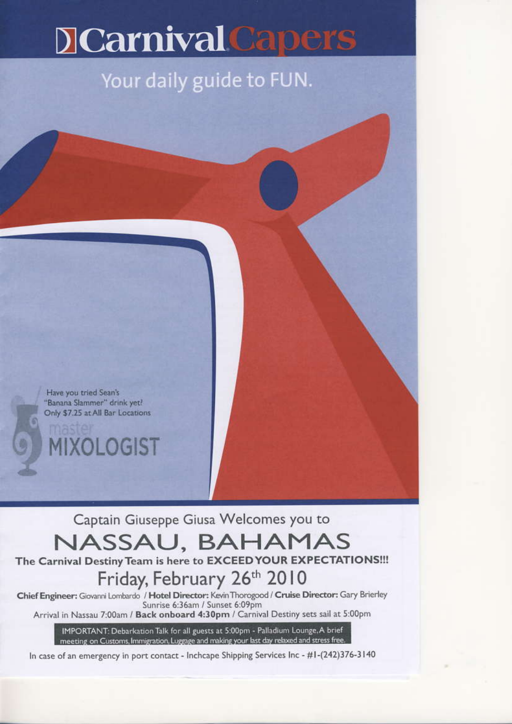# **JCarnival Capers**

## Your daily guide to FUN.

Have you tried Sean's "Banana Slammer" drink yet! Only \$7.25 at All Bar Locations

**IIXOLOGIST** 

Captain Giuseppe Giusa Welcomes you to

## NASSAU, BAHAMAS

The Carnival Destiny Team is here to EXCEED YOUR EXPECTATIONS !!!

## Friday, February 26th 2010

Chief Engineer: Giovanni Lombardo / Hotel Director: Kevin Thorogood / Cruise Director: Gary Brierley Sunrise 6:36am / Sunset 6:09pm

Arrival in Nassau 7:00am / Back onboard 4:30pm / Carnival Destiny sets sail at 5:00pm

IMPORTANT: Debarkation Talk for all guests at 5:00pm - Palladium Lounge, A brief meeting on Customs, Immigration, Luggage and making your last day relaxed and stress free.

In case of an emergency in port contact - Inchcape Shipping Services Inc - #1-(242)376-3140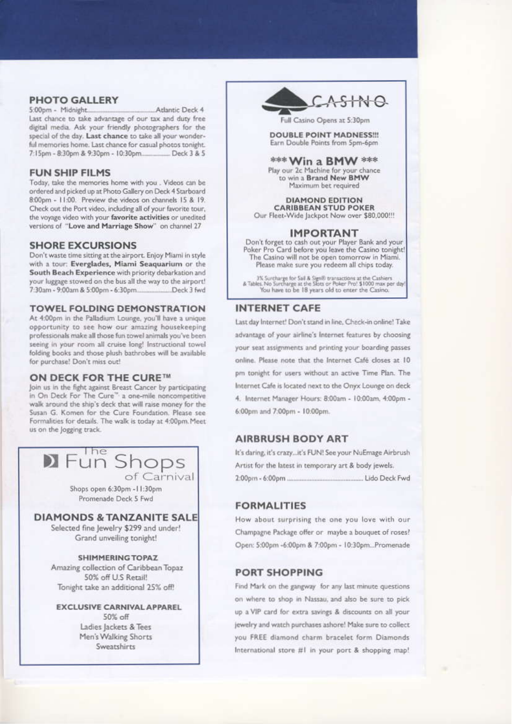#### **PHOTO GALLERY**

5:00pm - Midnight Atlantic Deck 4 Last chance to take advantage of our tax and duty free digital media. Ask your friendly photographers for the special of the day. Last chance to take all your wonderful memories home. Last chance for casual photos tonight. 7:15pm - 8:30pm & 9:30pm - 10:30pm... Deck 3 & 5

#### **FUN SHIP FILMS**

Today, take the memories home with you . Videos can be ordered and picked up at Photo Gallery on Deck 4 Starboard 8:00pm - 11:00. Preview the videos on channels 15 & 19. Check out the Port video, including all of your favorite tour, the voyage video with your favorite activities or unedited versions of "Love and Marriage Show" on channel 27

#### **SHORE EXCURSIONS**

Don't waste time sitting at the airport. Enjoy Miami in style with a tour: Everglades, Miami Seaquarium or the South Beach Experience with priority debarkation and your luggage stowed on the bus all the way to the airport! 7:30am - 9:00am & 5:00pm - 6:30pm...... ...Deck 3 fwd

#### **TOWEL FOLDING DEMONSTRATION**

At 4:00pm in the Palladium Lounge, you'll have a unique opportunity to see how our amazing housekeeping professionals make all those fun towel animals you've been seeing in your room all cruise long! Instructional towel folding books and those plush bathrobes will be available for purchase! Don't miss out!

#### ON DECK FOR THE CURE™

Join us in the fight against Breast Cancer by participating in On Deck For The Cure" a one-mile noncompetitive<br>walk around the ship's deck that will raise money for the Susan G. Komen for the Cure Foundation. Please see Formalities for details. The walk is today at 4:00pm. Meet us on the logging track.

#### **D** Fun Shops of Carnival

Shops open 6:30pm - I I:30pm Promenade Deck 5 Fwd

### **DIAMONDS & TANZANITE SALE**

Selected fine Jewelry \$299 and under! Grand unveiling tonight!

#### **SHIMMERING TOPAZ**

Amazing collection of Caribbean Topaz 50% off U.S Retail! Tonight take an additional 25% off!

**EXCLUSIVE CARNIVAL APPAREL** 50% off Ladies Jackets & Tees Men's Walking Shorts Sweatshirts



Full Casino Opens at 5:30pm

**DOUBLE POINT MADNESS!!!** Earn Double Points from Spm-6pm

\*\*\* Win a BMW \*\*\* Play our 2c Machine for your chance<br>to win a Brand New BMW Maximum bet required

**DIAMOND EDITION CARIBBEAN STUD POKER** Our Fleet-Wide Jackpot Now over \$80,000!!!

#### **IMPORTANT**

Don't forget to cash out your Player Bank and your<br>Poker Pro Card before you leave the Casino tonight! The Casino will not be open tomorrow in Miami. Please make sure you redeem all chips today.

3% Surcharge for Sall & Sign® transactions at the Cashiers<br>& Tables. No Surcharge at the Slots or Poker Pro! \$1000 max per day<br>You have to be 18 years old to enter the Casino.

#### **INTERNET CAFE**

Last day Internet! Don't stand in line, Check-in online! Take advantage of your airline's Internet features by choosing your seat assignments and printing your boarding passes online. Please note that the Internet Café closes at 10 pm tonight for users without an active Time Plan. The Internet Cafe is located next to the Onyx Lounge on deck 4. Internet Manager Hours: 8:00am - 10:00am, 4:00pm -6:00pm and 7:00pm - 10:00pm.

#### **AIRBRUSH BODY ART**

It's daring, it's crazy...it's FUN! See your NuEmage Airbrush Artist for the latest in temporary art & body jewels. 

#### **FORMALITIES**

How about surprising the one you love with our Champagne Package offer or maybe a bouquet of roses? Open: 5:00pm -6:00pm & 7:00pm - 10:30pm...Promenade

#### **PORT SHOPPING**

Find Mark on the gangway for any last minute questions on where to shop in Nassau, and also be sure to pick up a VIP card for extra savings & discounts on all your jewelry and watch purchases ashore! Make sure to collect you FREE diamond charm bracelet form Diamonds International store #1 in your port & shopping map!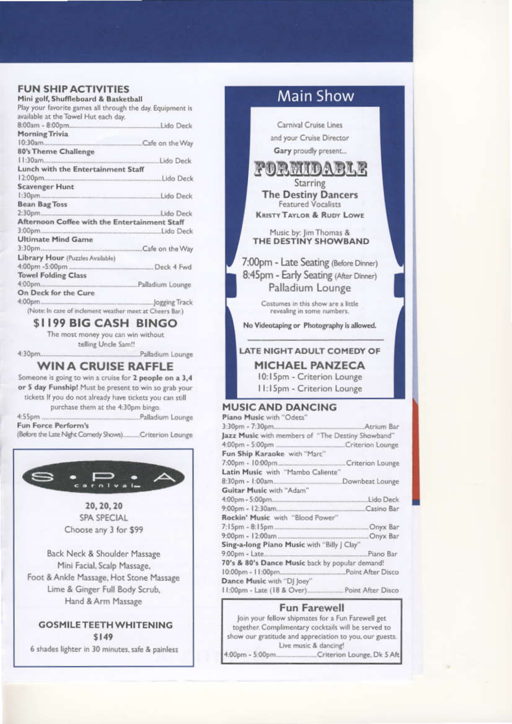#### **FUN SHIP ACTIVITIES**

| Mini golf, Shuffleboard & Basketball                       |               |
|------------------------------------------------------------|---------------|
| Play your favorite games all through the day. Equipment is |               |
| available at the Towel Hut each day.                       |               |
|                                                            |               |
| <b>Morning Trivia</b>                                      |               |
|                                                            |               |
|                                                            |               |
| 80's Theme Challenge                                       |               |
|                                                            |               |
| Lunch with the Entertainment Staff                         |               |
|                                                            |               |
| <b>Scavenger Hunt</b>                                      |               |
|                                                            |               |
| <b>Bean Bag Toss</b>                                       |               |
|                                                            |               |
| Afternoon Coffee with the Entertainment Staff              |               |
|                                                            |               |
| <b>Ultimate Mind Game</b>                                  |               |
|                                                            |               |
| Library Hour (Puzzles Available)                           |               |
|                                                            |               |
| <b>Towel Folding Class</b>                                 |               |
|                                                            |               |
| On Deck for the Cure                                       |               |
|                                                            | Jogging Track |

(Note: In case of inclement weather meet at Cheers Bar.)

### \$1199 BIG CASH BINGO

The most money you can win without telling Uncle Sam!!

4:30pm...

Palladium Lounge

#### **WIN A CRUISE RAFFLE**

Someone is going to win a cruise for 2 people on a 3,4 or 5 day Funship! Must be present to win so grab your tickets If you do not already have tickets you can still purchase them at the 4:30pm bingo.

4:55pm. ...Palladium Lounge Fun Force Perform's

(Before the Late Night Comedy Shows)......... Criterion Lounge



20, 20, 20 SPA SPECIAL Choose any 3 for \$99

Back Neck & Shoulder Massage Mini Facial, Scalp Massage, Foot & Ankle Massage, Hot Stone Massage Lime & Ginger Full Body Scrub. Hand & Arm Massage

### **GOSMILE TEETH WHITENING** \$149

6 shades lighter in 30 minutes, safe & painless

## **Main Show**

Carnival Cruise Lines and your Cruise Director Gary proudly present...

pormidarle **Starring The Destiny Dancers** Featured Vocalists **KRISTY TAYLOR & RUDY LOWE** 

Music by: Jim Thomas &<br>THE DESTINY SHOWBAND

7:00pm - Late Seating (Before Dinner) 8:45pm - Early Seating (After Dinner) Palladium Lounge

> Costumes in this show are a little revealing in some numbers.

No Videotaping or Photography is allowed.

#### LATE NIGHT ADULT COMEDY OF **MICHAEL PANZECA** 10:15pm - Criterion Lounge

11:15pm - Criterion Lounge

### **MUSIC AND DANCING**

| Piano Music with "Odeta"                          |            |
|---------------------------------------------------|------------|
|                                                   |            |
| Jazz Music with members of "The Destiny Showband" |            |
|                                                   |            |
| Fun Ship Karaoke with "Marc"                      |            |
|                                                   |            |
| Latin Music with "Mambo Caliente"                 |            |
|                                                   |            |
| Guitar Music with "Adam"                          |            |
|                                                   |            |
| 9:00pm - 12:30am                                  | Casino Bar |
| Rockin' Music with "Blood Power"                  |            |
|                                                   |            |
|                                                   |            |
| Sing-a-long Piano Music with "Billy J Clay"       |            |
|                                                   |            |
| 70's & 80's Dance Music back by popular demand!   |            |
|                                                   |            |
| Dance Music with "DJ Joey"                        |            |
| 11:00pm - Late (18 & Over) Point After Disco      |            |
|                                                   |            |

#### **Fun Farewell**

Join your fellow shipmates for a Fun Farewell get together. Complimentary cocktails will be served to show our gratitude and appreciation to you, our guests. Live music & dancing! 4:00pm - 5:00pm. Criterion Lounge, Dk 5 Aft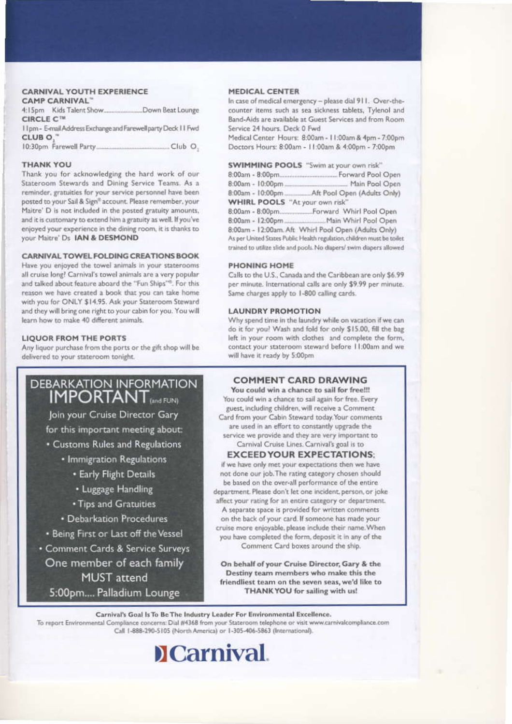#### **CARNIVAL YOUTH EXPERIENCE** AMP CARNIVAL

| CIRCLE C <sup>TM</sup> |                                                               |
|------------------------|---------------------------------------------------------------|
|                        | 11pm - E-mail Address Exchange and Farewell party Deck 11 Fwd |
| CLUB <sub>O.</sub> "   |                                                               |
|                        |                                                               |

#### **THANK YOU**

Thank you for acknowledging the hard work of our Stateroom Stewards and Dining Service Teams. As a reminder, gratuities for your service personnel have been posted to your Sail & Sign® account. Please remember, your Maitre' D is not included in the posted gratuity amounts, and it is customary to extend him a gratuity as well. If you've enjoyed your experience in the dining room, it is thanks to your Maitre' Ds IAN & DESMOND

#### CARNIVAL TOWEL FOLDING CREATIONS BOOK

Have you enjoyed the towel animals in your staterooms all cruise long? Carnival's towel animals are a very popular and talked about feature aboard the "Fun Ships"<sup>6</sup>. For this reason we have created a book that you can take home with you for ONLY \$14.95. Ask your Stateroom Steward and they will bring one right to your cabin for you. You will learn how to make 40 different animals.

#### **LIQUOR FROM THE PORTS**

Any liquor purchase from the ports or the gift shop will be delivered to your stateroom tonight.

## **DEBARKATION INFORMATION IMPORTANT**<sub>(and FUN)</sub>

Join your Cruise Director Gary for this important meeting about:

• Customs Rules and Regulations

- · Immigration Regulations
	- **· Early Flight Details**
	- Luggage Handling
	- · Tips and Gratuities
- · Debarkation Procedures
- . Being First or Last off the Vessel
- Comment Cards & Service Surveys One member of each family **MUST** attend 5:00pm.... Palladium Lounge

#### **MEDICAL CENTER**

In case of medical emergency - please dial 911. Over-thecounter items such as sea sickness tablets, Tylenol and Band-Aids are available at Guest Services and from Room Service 24 hours. Deck 0 Fwd

Medical Center Hours: 8:00am - 11:00am & 4pm - 7:00pm Doctors Hours: 8:00am - 11:00am & 4:00pm - 7:00pm

|                                       | <b>SWIMMING POOLS</b> "Swim at your own risk"                          |
|---------------------------------------|------------------------------------------------------------------------|
|                                       |                                                                        |
|                                       |                                                                        |
|                                       |                                                                        |
| <b>WHIRL POOLS</b> "At your own risk" |                                                                        |
|                                       |                                                                        |
|                                       |                                                                        |
|                                       | 8:00am - 12:00am. Aft Whirl Pool Open (Adults Only)                    |
|                                       | As per United States Public Health regulation, children must be toilet |

#### **PHONING HOME**

Calls to the U.S., Canada and the Caribbean are only \$6.99. per minute. International calls are only \$9.99 per minute. Same charges apply to 1-800 calling cards.

trained to utilize slide and pools. No diapers/ swim diapers allowed

#### **LAUNDRY PROMOTION**

Why spend time in the laundry while on vacation if we can do it for you? Wash and fold for only \$15.00, fill the bag left in your room with clothes and complete the form, contact your stateroom steward before 11:00am and we will have it ready by 5:00pm

#### **COMMENT CARD DRAWING**

You could win a chance to sail for free!!! You could win a chance to sail again for free. Every guest, including children, will receive a Comment Card from your Cabin Steward today. Your comments are used in an effort to constantly upgrade the service we provide and they are very important to Carnival Cruise Lines. Carnival's goal is to

#### **EXCEED YOUR EXPECTATIONS:**

if we have only met your expectations then we have not done our job. The rating category chosen should be based on the over-all performance of the entire department. Please don't let one incident, person, or joke affect your rating for an entire category or department. A separate space is provided for written comments on the back of your card. If someone has made your cruise more enjoyable, please include their name. When you have completed the form, deposit it in any of the Comment Card boxes around the ship.

On behalf of your Cruise Director, Gary & the Destiny team members who make this the friendliest team on the seven seas, we'd like to THANK YOU for sailing with us!

Carnival's Goal Is To Be The Industry Leader For Environmental Excellence. To report Environmental Compliance concerns: Dial #4368 from your Stateroom telephone or visit www.carnivalcompliance.com Call 1-888-290-5105 (North America) or 1-305-406-5863 (International).

## **DCarnival**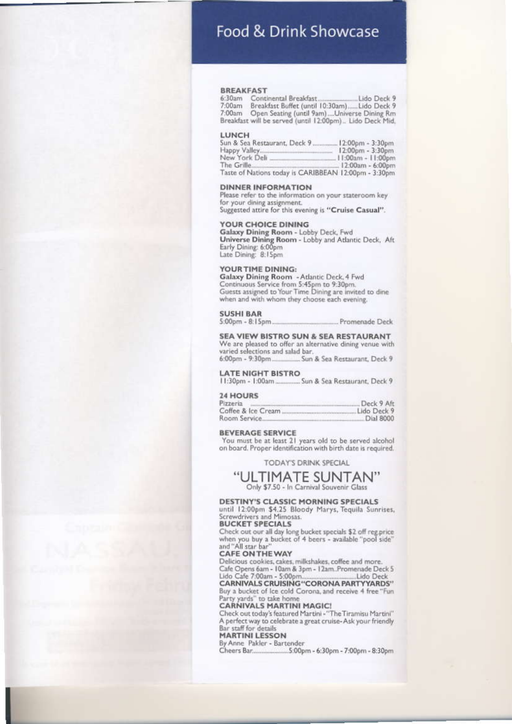## Food & Drink Showcase

#### **BREAKFAST**

7:00am Open Seating (until 9am)....Universe Dining Rm<br>Breakfast will be served (until 12:00pm).. Lido Deck Mid,

#### LUNCH

| Sun & Sea Restaurant, Deck 9.                        | . 12:00pm - 3:30pm   |
|------------------------------------------------------|----------------------|
| Happy Valley                                         | $12:00pm - 3:30pm$   |
| New York Deli                                        | $.11:00am - 11:00pm$ |
| The Grille                                           | 12:00am - 6:00pm     |
| Taste of Nations today is CARIBBEAN 12:00pm - 3:30pm |                      |

#### **DINNER INFORMATION**

Please refer to the information on your stateroom key for your dining assignment.

Suggested attire for this evening is "Cruise Casual".

#### **YOUR CHOICE DINING**

Galaxy Dining Room - Lobby Deck, Fwd Universe Dining Room - Lobby and Atlantic Deck, Aft Early Dining: 6:00pm<br>Late Dining: 8:15pm

#### YOUR TIME DINING:

Galaxy Dining Room - Atlantic Deck, 4 Fwd Continuous Service from 5:45pm to 9:30pm. Guests assigned to Your Time Dining are invited to dine when and with whom they choose each evening.

#### **SUSHI BAR**

 $5:00$ pm -  $8:15$ pm. Promenade Deck

#### SEA VIEW BISTRO SUN & SEA RESTAURANT

We are pleased to offer an alternative dining venue with varied selections and salad bar. 6:00pm - 9:30pm.... Sun & Sea Restaurant, Deck 9

#### **LATE NIGHT BISTRO**

11:30pm - 1:00am ............... Sun & Sea Restaurant, Deck 9

#### **24 HOURS**

| Pizzeria     |                    | Deck 9 Aft  |
|--------------|--------------------|-------------|
|              | Coffee & Ice Cream | Lido Deck 9 |
| Room Service |                    | Dial 8000   |

#### **BEVERAGE SERVICE**

You must be at least 21 years old to be served alcohol on board. Proper identification with birth date is required.

**TODAY'S DRINK SPECIAL** 

### "ULTIMATE SUNTAN"

Only \$7.50 - In Carnival Souvenir Glass

#### **DESTINY'S CLASSIC MORNING SPECIALS**

until 12:00pm \$4.25 Bloody Marys, Tequila Sunrises, Screwdrivers and Mimosas. **BUCKET SPECIALS** 

Check out our all day long bucket specials \$2 off reg.price<br>when you buy a bucket of 4 beers - available "pool side" and "All star bar"

### CAFE ON THE WAY

Delicious cookies, cakes, milkshakes, coffee and more. Cafe Opens 6am - 10am & 3pm - 12am Promenade Deck 5<br>Lido Cafe 7:00am - 5:00pm - Lido Deck<br>CARNIVALS CRUISING "CORONA PARTYYARDS"

## Buy a bucket of Ice cold Corona, and receive 4 free "Fun

Party yards" to take home **CARNIVALS MARTINI MAGIC!** 

Check out today's featured Martini - "The Tiramisu Martini" A perfect way to celebrate a great cruise-Ask your friendly Bar staff for details

#### **MARTINI LESSON**

By Anne Pakler - Bartender Cheers Bar........... ...5:00pm - 6:30pm - 7:00pm - 8:30pm